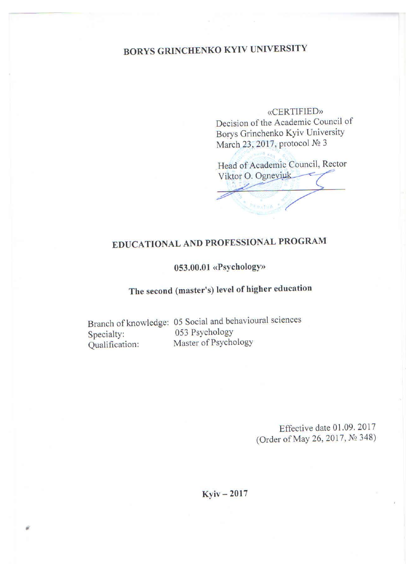# **BORYS GRINCHENKO KYIV UNIVERSITY**

**«CERTIFIED»** Decision of the Academic Council of Borys Grinchenko Kyiv University March 23, 2017, protocol № 3

Head of Academic Council, Rector Viktor O. Ogneviuk

# EDUCATIONAL AND PROFESSIONAL PROGRAM

### 053.00.01 «Psychology»

# The second (master's) level of higher education

Branch of knowledge: 05 Social and behavioural sciences 053 Psychology Specialty: Master of Psychology Qualification:

> Effective date 01.09. 2017 (Order of May 26, 2017, № 348)

#### $Kyiv - 2017$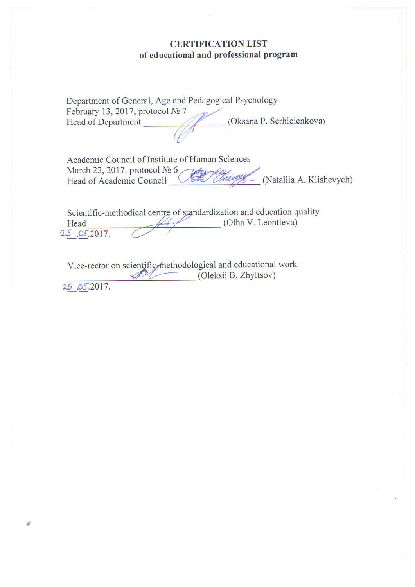#### **CERTIFICATION LIST** of educational and professional program

| Department of General, Age and Pedagogical Psychology |                           |
|-------------------------------------------------------|---------------------------|
| February 13, 2017, protocol № 7                       |                           |
| Head of Department                                    | (Oksana P. Serhieienkova) |
|                                                       |                           |

Academic Council of Institute of Human Sciences March 22, 2017. protocol Nº 6 (Nataliia A. Klishevych) Head of Academic Council

Scientific-methodical centre of standardization and education quality (Olha V. Leontieva) Head 25 05 2017.

Vice-rector on scientific methodological and educational work<br>(Oleksii B. Zhyltsov) (Oleksii B. Zhyltsov)

25 05.2017.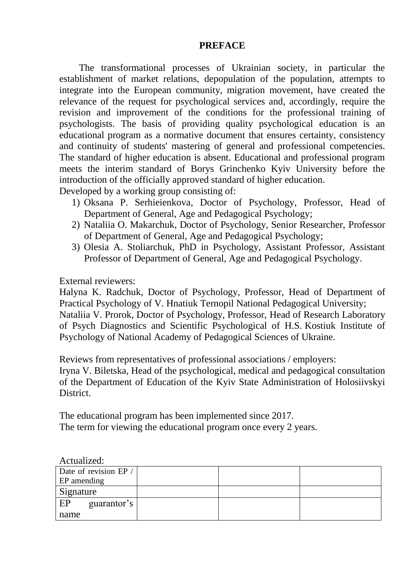#### **PREFACE**

The transformational processes of Ukrainian society, in particular the establishment of market relations, depopulation of the population, attempts to integrate into the European community, migration movement, have created the relevance of the request for psychological services and, accordingly, require the revision and improvement of the conditions for the professional training of psychologists. The basis of providing quality psychological education is an educational program as a normative document that ensures certainty, consistency and continuity of students' mastering of general and professional competencies. The standard of higher education is absent. Educational and professional program meets the interim standard of Borys Grinchenko Kyiv University before the introduction of the officially approved standard of higher education.

Developed by a working group consisting of:

- 1) Oksana P. Serhieienkova, Doctor of Psychology, Professor, Head of Department of General, Age and Pedagogical Psychology;
- 2) Nataliia O. Makarchuk, Doctor of Psychology, Senior Researcher, Professor of Department of General, Age and Pedagogical Psychology;
- 3) Olesia A. Stoliarchuk, PhD in Psychology, Assistant Professor, Assistant Professor of Department of General, Age and Pedagogical Psychology.

External reviewers:

Halyna K. Radchuk, Doctor of Psychology, Professor, Head of Department of Practical Psychology of V. Hnatiuk Ternopil National Pedagogical University; Nataliia V. Prorok, Doctor of Psychology, Professor, Head of Research Laboratory of Psych Diagnostics and Scientific Psychological of H.S. Kostiuk Institute of Psychology of National Academy of Pedagogical Sciences of Ukraine.

Reviews from representatives of professional associations / employers: Iryna V. Biletska, Head of the psychological, medical and pedagogical consultation of the Department of Education of the Kyiv State Administration of Holosiivskyi District.

The educational program has been implemented since 2017. The term for viewing the educational program once every 2 years.

| Date of revision EP / |  |  |
|-----------------------|--|--|
| EP amending           |  |  |
| Signature             |  |  |
| EP<br>guarantor's     |  |  |
| name                  |  |  |

Actualized: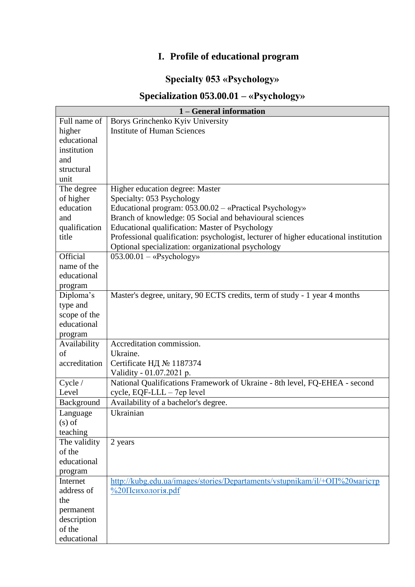## **I. Profile of educational program**

### **Specialty 053 «Psychology»**

# **Specialization 053.00.01 – «Psychology»**

|               | 1 – General information                                                              |  |  |  |  |  |  |  |  |
|---------------|--------------------------------------------------------------------------------------|--|--|--|--|--|--|--|--|
| Full name of  | Borys Grinchenko Kyiv University                                                     |  |  |  |  |  |  |  |  |
| higher        | <b>Institute of Human Sciences</b>                                                   |  |  |  |  |  |  |  |  |
| educational   |                                                                                      |  |  |  |  |  |  |  |  |
| institution   |                                                                                      |  |  |  |  |  |  |  |  |
| and           |                                                                                      |  |  |  |  |  |  |  |  |
| structural    |                                                                                      |  |  |  |  |  |  |  |  |
| unit          |                                                                                      |  |  |  |  |  |  |  |  |
| The degree    | Higher education degree: Master                                                      |  |  |  |  |  |  |  |  |
| of higher     | Specialty: 053 Psychology                                                            |  |  |  |  |  |  |  |  |
| education     | Educational program: $053.00.02 -$ «Practical Psychology»                            |  |  |  |  |  |  |  |  |
| and           | Branch of knowledge: 05 Social and behavioural sciences                              |  |  |  |  |  |  |  |  |
| qualification | Educational qualification: Master of Psychology                                      |  |  |  |  |  |  |  |  |
| title         | Professional qualification: psychologist, lecturer of higher educational institution |  |  |  |  |  |  |  |  |
|               | Optional specialization: organizational psychology                                   |  |  |  |  |  |  |  |  |
| Official      | $053.00.01 - \langle$ Psychology»                                                    |  |  |  |  |  |  |  |  |
| name of the   |                                                                                      |  |  |  |  |  |  |  |  |
| educational   |                                                                                      |  |  |  |  |  |  |  |  |
| program       |                                                                                      |  |  |  |  |  |  |  |  |
| Diploma's     | Master's degree, unitary, 90 ECTS credits, term of study - 1 year 4 months           |  |  |  |  |  |  |  |  |
| type and      |                                                                                      |  |  |  |  |  |  |  |  |
| scope of the  |                                                                                      |  |  |  |  |  |  |  |  |
| educational   |                                                                                      |  |  |  |  |  |  |  |  |
| program       |                                                                                      |  |  |  |  |  |  |  |  |
| Availability  | Accreditation commission.                                                            |  |  |  |  |  |  |  |  |
| of            | Ukraine.                                                                             |  |  |  |  |  |  |  |  |
| accreditation | Certificate НД № 1187374                                                             |  |  |  |  |  |  |  |  |
|               | Validity - 01.07.2021 p.                                                             |  |  |  |  |  |  |  |  |
| Cycle /       | National Qualifications Framework of Ukraine - 8th level, FQ-EHEA - second           |  |  |  |  |  |  |  |  |
| Level         | cycle, $EQF\text{-}LLL - 7ep$ level                                                  |  |  |  |  |  |  |  |  |
| Background    | Availability of a bachelor's degree.                                                 |  |  |  |  |  |  |  |  |
| Language      | Ukrainian                                                                            |  |  |  |  |  |  |  |  |
| $(s)$ of      |                                                                                      |  |  |  |  |  |  |  |  |
| teaching      |                                                                                      |  |  |  |  |  |  |  |  |
| The validity  | 2 years                                                                              |  |  |  |  |  |  |  |  |
| of the        |                                                                                      |  |  |  |  |  |  |  |  |
| educational   |                                                                                      |  |  |  |  |  |  |  |  |
| program       |                                                                                      |  |  |  |  |  |  |  |  |
| Internet      | http://kubg.edu.ua/images/stories/Departaments/vstupnikam/il/+OII%20Maricrp          |  |  |  |  |  |  |  |  |
| address of    | %20Психологія.pdf                                                                    |  |  |  |  |  |  |  |  |
| the           |                                                                                      |  |  |  |  |  |  |  |  |
| permanent     |                                                                                      |  |  |  |  |  |  |  |  |
| description   |                                                                                      |  |  |  |  |  |  |  |  |
| of the        |                                                                                      |  |  |  |  |  |  |  |  |
| educational   |                                                                                      |  |  |  |  |  |  |  |  |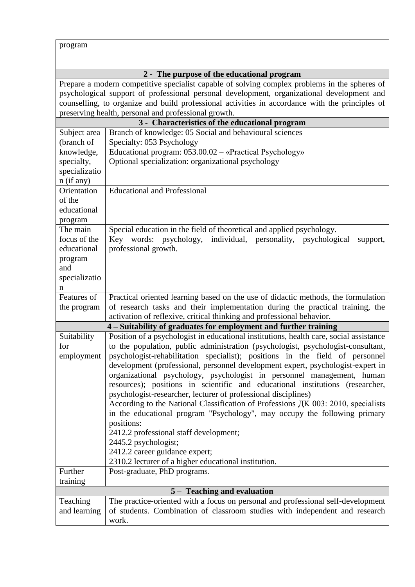| program                                                                               |                                                                                                                                                                                                                                                                                                                                                                                                                                                                                                                                                                                                                                                                                                                                                                                                                                                                                                                        |  |  |  |  |  |  |  |  |  |
|---------------------------------------------------------------------------------------|------------------------------------------------------------------------------------------------------------------------------------------------------------------------------------------------------------------------------------------------------------------------------------------------------------------------------------------------------------------------------------------------------------------------------------------------------------------------------------------------------------------------------------------------------------------------------------------------------------------------------------------------------------------------------------------------------------------------------------------------------------------------------------------------------------------------------------------------------------------------------------------------------------------------|--|--|--|--|--|--|--|--|--|
|                                                                                       |                                                                                                                                                                                                                                                                                                                                                                                                                                                                                                                                                                                                                                                                                                                                                                                                                                                                                                                        |  |  |  |  |  |  |  |  |  |
|                                                                                       | 2 - The purpose of the educational program                                                                                                                                                                                                                                                                                                                                                                                                                                                                                                                                                                                                                                                                                                                                                                                                                                                                             |  |  |  |  |  |  |  |  |  |
|                                                                                       | Prepare a modern competitive specialist capable of solving complex problems in the spheres of<br>psychological support of professional personal development, organizational development and<br>counselling, to organize and build professional activities in accordance with the principles of<br>preserving health, personal and professional growth.                                                                                                                                                                                                                                                                                                                                                                                                                                                                                                                                                                 |  |  |  |  |  |  |  |  |  |
|                                                                                       | 3 - Characteristics of the educational program                                                                                                                                                                                                                                                                                                                                                                                                                                                                                                                                                                                                                                                                                                                                                                                                                                                                         |  |  |  |  |  |  |  |  |  |
| Subject area<br>(branch of<br>knowledge,<br>specialty,<br>specializatio<br>n (if any) | Branch of knowledge: 05 Social and behavioural sciences<br>Specialty: 053 Psychology<br>Educational program: 053.00.02 - «Practical Psychology»<br>Optional specialization: organizational psychology                                                                                                                                                                                                                                                                                                                                                                                                                                                                                                                                                                                                                                                                                                                  |  |  |  |  |  |  |  |  |  |
| Orientation<br>of the<br>educational<br>program                                       | <b>Educational and Professional</b>                                                                                                                                                                                                                                                                                                                                                                                                                                                                                                                                                                                                                                                                                                                                                                                                                                                                                    |  |  |  |  |  |  |  |  |  |
| The main<br>focus of the<br>educational<br>program<br>and<br>specializatio<br>n       | Special education in the field of theoretical and applied psychology.<br>Key words: psychology, individual, personality, psychological<br>support,<br>professional growth.                                                                                                                                                                                                                                                                                                                                                                                                                                                                                                                                                                                                                                                                                                                                             |  |  |  |  |  |  |  |  |  |
| Features of<br>the program                                                            | Practical oriented learning based on the use of didactic methods, the formulation<br>of research tasks and their implementation during the practical training, the<br>activation of reflexive, critical thinking and professional behavior.                                                                                                                                                                                                                                                                                                                                                                                                                                                                                                                                                                                                                                                                            |  |  |  |  |  |  |  |  |  |
|                                                                                       | 4 - Suitability of graduates for employment and further training                                                                                                                                                                                                                                                                                                                                                                                                                                                                                                                                                                                                                                                                                                                                                                                                                                                       |  |  |  |  |  |  |  |  |  |
| Suitability<br>for<br>employment                                                      | Position of a psychologist in educational institutions, health care, social assistance<br>to the population, public administration (psychologist, psychologist-consultant,<br>psychologist-rehabilitation specialist); positions in the field of personnel<br>development (professional, personnel development expert, psychologist-expert in<br>organizational psychology, psychologist in personnel management, human<br>resources); positions in scientific and educational institutions (researcher,<br>psychologist-researcher, lecturer of professional disciplines)<br>According to the National Classification of Professions ДК 003: 2010, specialists<br>in the educational program "Psychology", may occupy the following primary<br>positions:<br>2412.2 professional staff development;<br>2445.2 psychologist;<br>2412.2 career guidance expert;<br>2310.2 lecturer of a higher educational institution. |  |  |  |  |  |  |  |  |  |
| Further                                                                               | Post-graduate, PhD programs.                                                                                                                                                                                                                                                                                                                                                                                                                                                                                                                                                                                                                                                                                                                                                                                                                                                                                           |  |  |  |  |  |  |  |  |  |
| training                                                                              | 5 – Teaching and evaluation                                                                                                                                                                                                                                                                                                                                                                                                                                                                                                                                                                                                                                                                                                                                                                                                                                                                                            |  |  |  |  |  |  |  |  |  |
| Teaching<br>and learning                                                              | The practice-oriented with a focus on personal and professional self-development<br>of students. Combination of classroom studies with independent and research<br>work.                                                                                                                                                                                                                                                                                                                                                                                                                                                                                                                                                                                                                                                                                                                                               |  |  |  |  |  |  |  |  |  |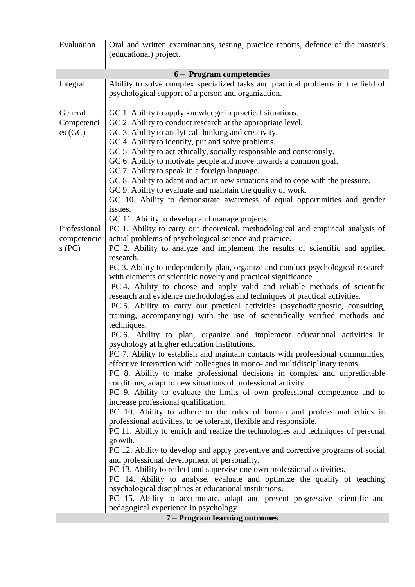| Evaluation   | Oral and written examinations, testing, practice reports, defence of the master's<br>(educational) project.       |
|--------------|-------------------------------------------------------------------------------------------------------------------|
|              | 6 - Program competencies                                                                                          |
| Integral     | Ability to solve complex specialized tasks and practical problems in the field of                                 |
|              | psychological support of a person and organization.                                                               |
| General      | GC 1. Ability to apply knowledge in practical situations.                                                         |
| Competenci   | GC 2. Ability to conduct research at the appropriate level.                                                       |
| es(GC)       | GC 3. Ability to analytical thinking and creativity.                                                              |
|              | GC 4. Ability to identify, put and solve problems.                                                                |
|              | GC 5. Ability to act ethically, socially responsible and consciously.                                             |
|              | GC 6. Ability to motivate people and move towards a common goal.                                                  |
|              | GC 7. Ability to speak in a foreign language.                                                                     |
|              | GC 8. Ability to adapt and act in new situations and to cope with the pressure.                                   |
|              | GC 9. Ability to evaluate and maintain the quality of work.                                                       |
|              | GC 10. Ability to demonstrate awareness of equal opportunities and gender                                         |
|              | issues.<br>GC 11. Ability to develop and manage projects.                                                         |
| Professional | PC 1. Ability to carry out theoretical, methodological and empirical analysis of                                  |
| competencie  | actual problems of psychological science and practice.                                                            |
| $s$ (PC)     | PC 2. Ability to analyze and implement the results of scientific and applied                                      |
|              | research.                                                                                                         |
|              | PC 3. Ability to independently plan, organize and conduct psychological research                                  |
|              | with elements of scientific novelty and practical significance.                                                   |
|              | PC 4. Ability to choose and apply valid and reliable methods of scientific                                        |
|              | research and evidence methodologies and techniques of practical activities.                                       |
|              | PC 5. Ability to carry out practical activities (psychodiagnostic, consulting,                                    |
|              | training, accompanying) with the use of scientifically verified methods and                                       |
|              | techniques.                                                                                                       |
|              | PC 6. Ability to plan, organize and implement educational activities in                                           |
|              | psychology at higher education institutions.                                                                      |
|              | PC 7. Ability to establish and maintain contacts with professional communities,                                   |
|              | effective interaction with colleagues in mono- and multidisciplinary teams.                                       |
|              | PC 8. Ability to make professional decisions in complex and unpredictable                                         |
|              | conditions, adapt to new situations of professional activity.                                                     |
|              | PC 9. Ability to evaluate the limits of own professional competence and to                                        |
|              | increase professional qualification.<br>PC 10. Ability to adhere to the rules of human and professional ethics in |
|              | professional activities, to be tolerant, flexible and responsible.                                                |
|              | PC 11. Ability to enrich and realize the technologies and techniques of personal                                  |
|              | growth.                                                                                                           |
|              | PC 12. Ability to develop and apply preventive and corrective programs of social                                  |
|              | and professional development of personality.                                                                      |
|              | PC 13. Ability to reflect and supervise one own professional activities.                                          |
|              | PC 14. Ability to analyse, evaluate and optimize the quality of teaching                                          |
|              | psychological disciplines at educational institutions.                                                            |
|              | PC 15. Ability to accumulate, adapt and present progressive scientific and                                        |
|              | pedagogical experience in psychology.                                                                             |
|              | 7 - Program learning outcomes                                                                                     |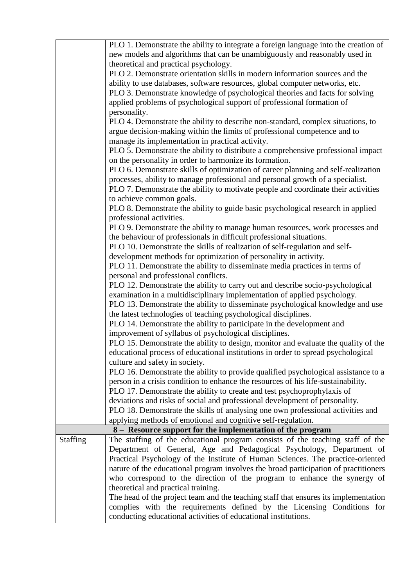|                 | PLO 1. Demonstrate the ability to integrate a foreign language into the creation of<br>new models and algorithms that can be unambiguously and reasonably used in |
|-----------------|-------------------------------------------------------------------------------------------------------------------------------------------------------------------|
|                 | theoretical and practical psychology.                                                                                                                             |
|                 | PLO 2. Demonstrate orientation skills in modern information sources and the                                                                                       |
|                 | ability to use databases, software resources, global computer networks, etc.                                                                                      |
|                 | PLO 3. Demonstrate knowledge of psychological theories and facts for solving                                                                                      |
|                 | applied problems of psychological support of professional formation of<br>personality.                                                                            |
|                 | PLO 4. Demonstrate the ability to describe non-standard, complex situations, to                                                                                   |
|                 | argue decision-making within the limits of professional competence and to<br>manage its implementation in practical activity.                                     |
|                 | PLO 5. Demonstrate the ability to distribute a comprehensive professional impact                                                                                  |
|                 | on the personality in order to harmonize its formation.                                                                                                           |
|                 | PLO 6. Demonstrate skills of optimization of career planning and self-realization                                                                                 |
|                 | processes, ability to manage professional and personal growth of a specialist.                                                                                    |
|                 | PLO 7. Demonstrate the ability to motivate people and coordinate their activities                                                                                 |
|                 | to achieve common goals.                                                                                                                                          |
|                 | PLO 8. Demonstrate the ability to guide basic psychological research in applied<br>professional activities.                                                       |
|                 | PLO 9. Demonstrate the ability to manage human resources, work processes and                                                                                      |
|                 | the behaviour of professionals in difficult professional situations.                                                                                              |
|                 | PLO 10. Demonstrate the skills of realization of self-regulation and self-                                                                                        |
|                 | development methods for optimization of personality in activity.                                                                                                  |
|                 | PLO 11. Demonstrate the ability to disseminate media practices in terms of                                                                                        |
|                 | personal and professional conflicts.                                                                                                                              |
|                 | PLO 12. Demonstrate the ability to carry out and describe socio-psychological                                                                                     |
|                 | examination in a multidisciplinary implementation of applied psychology.                                                                                          |
|                 | PLO 13. Demonstrate the ability to disseminate psychological knowledge and use                                                                                    |
|                 | the latest technologies of teaching psychological disciplines.                                                                                                    |
|                 | PLO 14. Demonstrate the ability to participate in the development and                                                                                             |
|                 | improvement of syllabus of psychological disciplines.<br>PLO 15. Demonstrate the ability to design, monitor and evaluate the quality of the                       |
|                 | educational process of educational institutions in order to spread psychological                                                                                  |
|                 | culture and safety in society.                                                                                                                                    |
|                 | PLO 16. Demonstrate the ability to provide qualified psychological assistance to a                                                                                |
|                 | person in a crisis condition to enhance the resources of his life-sustainability.                                                                                 |
|                 | PLO 17. Demonstrate the ability to create and test psychoprophylaxis of                                                                                           |
|                 | deviations and risks of social and professional development of personality.                                                                                       |
|                 | PLO 18. Demonstrate the skills of analysing one own professional activities and                                                                                   |
|                 | applying methods of emotional and cognitive self-regulation.                                                                                                      |
|                 | 8 - Resource support for the implementation of the program                                                                                                        |
| <b>Staffing</b> | The staffing of the educational program consists of the teaching staff of the                                                                                     |
|                 | Department of General, Age and Pedagogical Psychology, Department of<br>Practical Psychology of the Institute of Human Sciences. The practice-oriented            |
|                 | nature of the educational program involves the broad participation of practitioners                                                                               |
|                 | who correspond to the direction of the program to enhance the synergy of                                                                                          |
|                 | theoretical and practical training.                                                                                                                               |
|                 | The head of the project team and the teaching staff that ensures its implementation                                                                               |
|                 | complies with the requirements defined by the Licensing Conditions for                                                                                            |
|                 | conducting educational activities of educational institutions.                                                                                                    |
|                 |                                                                                                                                                                   |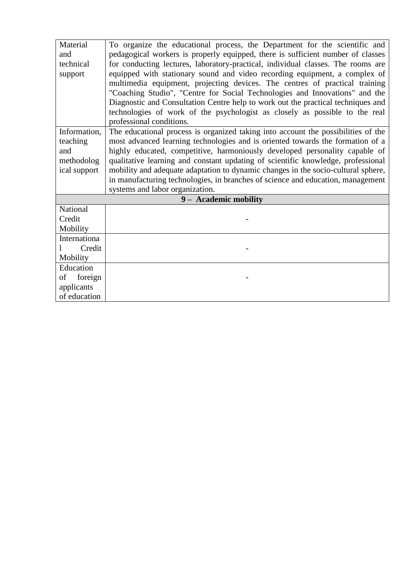| Material      | To organize the educational process, the Department for the scientific and        |
|---------------|-----------------------------------------------------------------------------------|
| and           | pedagogical workers is properly equipped, there is sufficient number of classes   |
| technical     | for conducting lectures, laboratory-practical, individual classes. The rooms are  |
| support       | equipped with stationary sound and video recording equipment, a complex of        |
|               | multimedia equipment, projecting devices. The centres of practical training       |
|               | "Coaching Studio", "Centre for Social Technologies and Innovations" and the       |
|               | Diagnostic and Consultation Centre help to work out the practical techniques and  |
|               | technologies of work of the psychologist as closely as possible to the real       |
|               | professional conditions.                                                          |
| Information,  | The educational process is organized taking into account the possibilities of the |
| teaching      | most advanced learning technologies and is oriented towards the formation of a    |
| and           | highly educated, competitive, harmoniously developed personality capable of       |
| methodolog    | qualitative learning and constant updating of scientific knowledge, professional  |
| ical support  | mobility and adequate adaptation to dynamic changes in the socio-cultural sphere, |
|               | in manufacturing technologies, in branches of science and education, management   |
|               | systems and labor organization.                                                   |
|               | 9 - Academic mobility                                                             |
| National      |                                                                                   |
| Credit        |                                                                                   |
| Mobility      |                                                                                   |
| Internationa  |                                                                                   |
| Credit        |                                                                                   |
| Mobility      |                                                                                   |
| Education     |                                                                                   |
| foreign<br>οf |                                                                                   |
| applicants    |                                                                                   |
| of education  |                                                                                   |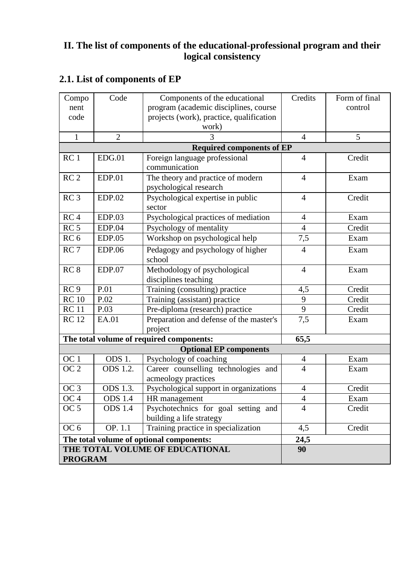### **II. The list of components of the educational-professional program and their logical consistency**

### **2.1. List of components of EP**

| Compo           | Code           | Components of the educational            | Credits        | Form of final |
|-----------------|----------------|------------------------------------------|----------------|---------------|
| nent            |                | program (academic disciplines, course    |                | control       |
| code            |                | projects (work), practice, qualification |                |               |
|                 |                | work)                                    |                |               |
| $\mathbf{1}$    | $\overline{2}$ | 3                                        | $\overline{4}$ | 5             |
|                 |                | <b>Required components of EP</b>         |                |               |
| RC <sub>1</sub> | EDG.01         | Foreign language professional            | $\overline{4}$ | Credit        |
|                 |                | communication                            |                |               |
| RC <sub>2</sub> | EDP.01         | The theory and practice of modern        | $\overline{4}$ | Exam          |
|                 |                | psychological research                   |                |               |
| RC <sub>3</sub> | <b>EDP.02</b>  | Psychological expertise in public        | $\overline{4}$ | Credit        |
|                 |                | sector                                   |                |               |
| RC <sub>4</sub> | EDP.03         | Psychological practices of mediation     | $\overline{4}$ | Exam          |
| RC <sub>5</sub> | <b>EDP.04</b>  | Psychology of mentality                  | $\overline{4}$ | Credit        |
| RC <sub>6</sub> | EDP.05         | Workshop on psychological help           | 7,5            | Exam          |
| RC <sub>7</sub> | <b>EDP.06</b>  | Pedagogy and psychology of higher        | $\overline{4}$ | Exam          |
|                 |                | school                                   |                |               |
| RC <sub>8</sub> | EDP.07         | Methodology of psychological             | $\overline{4}$ | Exam          |
|                 |                | disciplines teaching                     |                |               |
| RC <sub>9</sub> | P.01           | Training (consulting) practice           | 4,5            | Credit        |
| RC10            | P.02           | Training (assistant) practice            | 9              | Credit        |
| <b>RC11</b>     | P.03           | Pre-diploma (research) practice          | 9              | Credit        |
| <b>RC12</b>     | EA.01          | Preparation and defense of the master's  | 7,5            | Exam          |
|                 |                | project                                  |                |               |
|                 |                | The total volume of required components: | 65,5           |               |
|                 |                | <b>Optional EP components</b>            |                |               |
| OC 1            | ODS 1.         | Psychology of coaching                   | $\overline{4}$ | Exam          |
| OC <sub>2</sub> | ODS 1.2.       | Career counselling technologies and      | $\overline{4}$ | Exam          |
|                 |                | acmeology practices                      |                |               |
| OC <sub>3</sub> | ODS 1.3.       | Psychological support in organizations   | $\overline{4}$ | Credit        |
| OC <sub>4</sub> | <b>ODS</b> 1.4 | HR management                            | $\overline{4}$ | Exam          |
| OC <sub>5</sub> | <b>ODS</b> 1.4 | Psychotechnics for goal setting and      | $\overline{4}$ | Credit        |
|                 |                | building a life strategy                 |                |               |
| OC <sub>6</sub> | OP. 1.1        | Training practice in specialization      | 4,5            | Credit        |
|                 |                | The total volume of optional components: | 24,5           |               |
|                 |                | THE TOTAL VOLUME OF EDUCATIONAL          | 90             |               |
| <b>PROGRAM</b>  |                |                                          |                |               |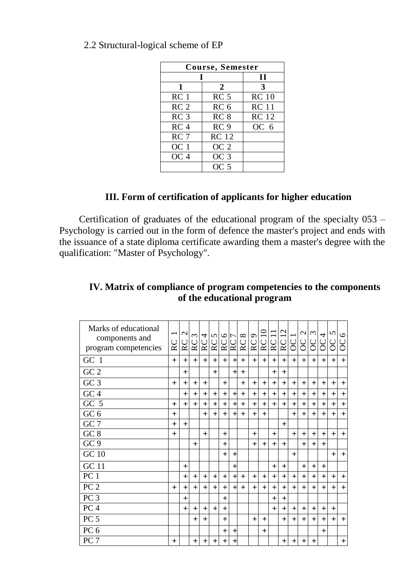| 2.2 Structural-logical scheme of EP |  |
|-------------------------------------|--|
|-------------------------------------|--|

| <b>Course, Semester</b> |                 |                 |  |  |  |  |  |  |  |
|-------------------------|-----------------|-----------------|--|--|--|--|--|--|--|
|                         |                 |                 |  |  |  |  |  |  |  |
| 1                       | 2               | 3               |  |  |  |  |  |  |  |
| RC <sub>1</sub>         | RC <sub>5</sub> | <b>RC</b> 10    |  |  |  |  |  |  |  |
| RC <sub>2</sub>         | RC <sub>6</sub> | <b>RC</b> 11    |  |  |  |  |  |  |  |
| RC <sub>3</sub>         | RC <sub>8</sub> | <b>RC</b> 12    |  |  |  |  |  |  |  |
| RC <sub>4</sub>         | RC <sub>9</sub> | OC <sub>6</sub> |  |  |  |  |  |  |  |
| RC <sub>7</sub>         | <b>RC</b> 12    |                 |  |  |  |  |  |  |  |
| OC 1                    | OC <sub>2</sub> |                 |  |  |  |  |  |  |  |
| OC <sub>4</sub>         | OC <sub>3</sub> |                 |  |  |  |  |  |  |  |
|                         | OC <sub>5</sub> |                 |  |  |  |  |  |  |  |

### **III. Form of certification of applicants for higher education**

Certification of graduates of the educational program of the specialty 053 – Psychology is carried out in the form of defence the master's project and ends with the issuance of a state diploma certificate awarding them a master's degree with the qualification: "Master of Psychology".

#### **IV. Matrix of compliance of program competencies to the components of the educational program**

| Marks of educational<br>components and<br>program competencies | $\overline{\phantom{0}}$<br>RC | $\mathbf{\Omega}$<br>$_{\rm RC}$ | $\mathfrak{c}$<br>RC | 4<br>RC          | $\mathbf{v}$<br>RC | $\circ$<br>RC | 7<br><b>RC</b> | $\infty$<br>RC | RC9 | $\Xi$<br>RC | RC        | $\mathbf{\Omega}$<br>RC | 80           | $\mathcal{L}$<br>$\infty$ | $\tilde{\epsilon}$<br><b>SC</b> | $\overline{4}$<br>8 | $\mathbf{v}$<br>Š | $\circ$<br>ပ္လ |
|----------------------------------------------------------------|--------------------------------|----------------------------------|----------------------|------------------|--------------------|---------------|----------------|----------------|-----|-------------|-----------|-------------------------|--------------|---------------------------|---------------------------------|---------------------|-------------------|----------------|
| GC 1                                                           | $+$                            | $+$                              | $+$                  | $+$              | $+$                | $+$           | $\pm$          | $+$            | $+$ | $+$         | $+$       | $+$                     | $+$          | $+$                       | $+$                             | $+$                 | $+$               | $+$            |
| GC <sub>2</sub>                                                |                                | $^{+}$                           |                      |                  | $+$                |               | $\pm$          | $\overline{+}$ |     |             | $+$       | $+$                     |              |                           |                                 |                     |                   |                |
| GC <sub>3</sub>                                                | $+$                            | $+$                              | $+$                  | $+$              |                    | $+$           |                | $+$            | $+$ | $+$         | $+$       | $+$                     | $+$          | $+$                       | $+$                             | $+$                 | $+$               | $+$            |
| GC <sub>4</sub>                                                |                                | $\pm$                            | $+$                  | $\ddot{}$        | $+$                | $+$           | $\pm$          | $+$            | $+$ | $^{+}$      | $\ddot{}$ | $+$                     | $+$          | $^{+}$                    | $+$                             | $+$                 | $+$               | $\ddot{}$      |
| GC <sub>5</sub>                                                | $+$                            | $+$                              | $+$                  | $^{+}$           | $+$                | $+$           | $\pm$          | $+$            | $+$ | $+$         | $+$       | $+$                     | $+$          | $+$                       | $+$                             | $+$                 | $^{+}$            | $\ddot{}$      |
| GC <sub>6</sub>                                                | $^{+}$                         |                                  |                      | $+$              | $+$                | $+$           | $\pm$          | $+$            | $+$ | $+$         |           |                         | $+$          | $+$                       | $+$                             | $+$                 | $+$               | $\ddag$        |
| GC <sub>7</sub>                                                | $+$                            | $+$                              |                      |                  |                    |               |                |                |     |             |           | $+$                     |              |                           |                                 |                     |                   |                |
| GC <sub>8</sub>                                                | $+$                            |                                  |                      | $+$              |                    | $+$           |                |                | $+$ |             | $\ddot{}$ |                         | $+$          | $+$                       | $\ddot{}$                       | $+$                 | $+$               | $+$            |
| GC <sub>9</sub>                                                |                                |                                  | $+$                  |                  |                    | $\ddot{}$     |                |                | $+$ | $+$         | $+$       | $+$                     |              | $+$                       | $+$                             | $+$                 |                   |                |
| <b>GC 10</b>                                                   |                                |                                  |                      |                  |                    | $+$           | $\pm$          |                |     |             |           |                         | $+$          |                           |                                 |                     | $+$               | $+$            |
| <b>GC</b> 11                                                   |                                | $\pm$                            |                      |                  |                    |               | $\pm$          |                |     |             | $+$       | $+$                     |              | $+$                       | $+$                             | $+$                 |                   |                |
| PC <sub>1</sub>                                                |                                | $+$                              | $+$                  | $+$              | $+$                | $+$           | $\overline{+}$ | $+$            | $+$ | $+$         | $^{+}$    | $+$                     | $+$          | $+$                       | $+$                             | $+$                 | $+$               | $+$            |
| PC <sub>2</sub>                                                | $+$                            | $\pm$                            | $+$                  | $+$              | $+$                | $+$           | $\pm$          | $+$            | $+$ | $+$         | $+$       | $+$                     | $+$          | $+$                       | $+$                             | $+$                 | $+$               | $+$            |
| PC <sub>3</sub>                                                |                                | $^{+}$                           |                      |                  |                    | $^{+}$        |                |                |     |             | $+$       | $+$                     |              |                           |                                 |                     |                   |                |
| PC <sub>4</sub>                                                |                                | $^{+}$                           | $+$                  | $^{+}$           | $\pm$              | $^{+}$        |                |                |     |             | $+$       | $^{+}$                  | $^{+}$       | $+$                       | $+$                             | $\pm$               | $^{+}$            |                |
| PC <sub>5</sub>                                                |                                |                                  | $+$                  | $\pm$            |                    | $^{+}$        |                |                | $+$ | $\pm$       |           | $\pm$                   | $\pm$        | $+$                       | $^{+}$                          | $\pm$               | $\pm$             | $+$            |
| PC <sub>6</sub>                                                |                                |                                  |                      |                  |                    | $+$           | $\pm$          |                |     | $^{+}$      |           |                         |              |                           |                                 | $+$                 |                   |                |
| PC <sub>7</sub>                                                | $\ddag$                        |                                  | $\boldsymbol{+}$     | $\boldsymbol{+}$ | $\mathrm{+}$       | $\bm{+}$      | ╋              |                |     |             |           | $\mathrm{+}$            | $\mathrm{+}$ | $\bm{+}$                  | $^{+}$                          |                     |                   | $\bm{+}$       |